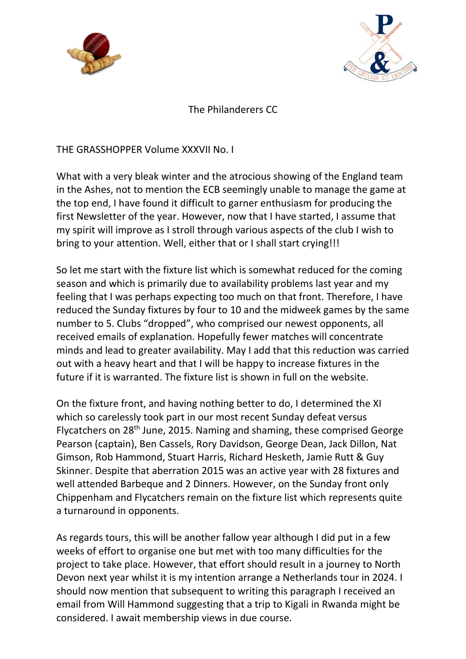



The Philanderers CC

THE GRASSHOPPER Volume XXXVII No. I

What with a very bleak winter and the atrocious showing of the England team in the Ashes, not to mention the ECB seemingly unable to manage the game at the top end, I have found it difficult to garner enthusiasm for producing the first Newsletter of the year. However, now that I have started, I assume that my spirit will improve as I stroll through various aspects of the club I wish to bring to your attention. Well, either that or I shall start crying!!!

So let me start with the fixture list which is somewhat reduced for the coming season and which is primarily due to availability problems last year and my feeling that I was perhaps expecting too much on that front. Therefore, I have reduced the Sunday fixtures by four to 10 and the midweek games by the same number to 5. Clubs "dropped", who comprised our newest opponents, all received emails of explanation. Hopefully fewer matches will concentrate minds and lead to greater availability. May I add that this reduction was carried out with a heavy heart and that I will be happy to increase fixtures in the future if it is warranted. The fixture list is shown in full on the website.

On the fixture front, and having nothing better to do, I determined the XI which so carelessly took part in our most recent Sunday defeat versus Flycatchers on 28th June, 2015. Naming and shaming, these comprised George Pearson (captain), Ben Cassels, Rory Davidson, George Dean, Jack Dillon, Nat Gimson, Rob Hammond, Stuart Harris, Richard Hesketh, Jamie Rutt & Guy Skinner. Despite that aberration 2015 was an active year with 28 fixtures and well attended Barbeque and 2 Dinners. However, on the Sunday front only Chippenham and Flycatchers remain on the fixture list which represents quite a turnaround in opponents.

As regards tours, this will be another fallow year although I did put in a few weeks of effort to organise one but met with too many difficulties for the project to take place. However, that effort should result in a journey to North Devon next year whilst it is my intention arrange a Netherlands tour in 2024. I should now mention that subsequent to writing this paragraph I received an email from Will Hammond suggesting that a trip to Kigali in Rwanda might be considered. I await membership views in due course.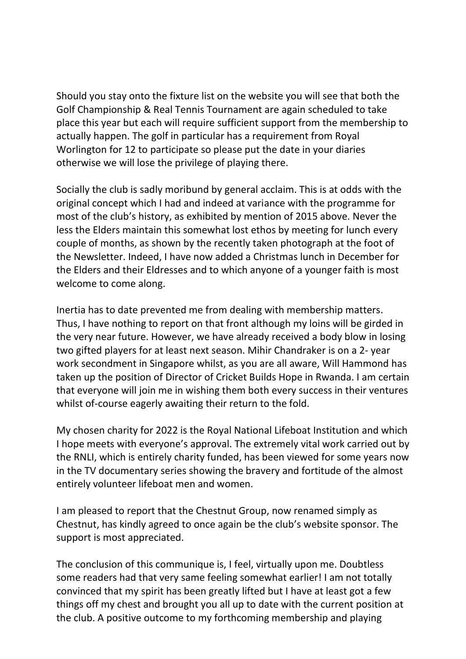Should you stay onto the fixture list on the website you will see that both the Golf Championship & Real Tennis Tournament are again scheduled to take place this year but each will require sufficient support from the membership to actually happen. The golf in particular has a requirement from Royal Worlington for 12 to participate so please put the date in your diaries otherwise we will lose the privilege of playing there.

Socially the club is sadly moribund by general acclaim. This is at odds with the original concept which I had and indeed at variance with the programme for most of the club's history, as exhibited by mention of 2015 above. Never the less the Elders maintain this somewhat lost ethos by meeting for lunch every couple of months, as shown by the recently taken photograph at the foot of the Newsletter. Indeed, I have now added a Christmas lunch in December for the Elders and their Eldresses and to which anyone of a younger faith is most welcome to come along.

Inertia has to date prevented me from dealing with membership matters. Thus, I have nothing to report on that front although my loins will be girded in the very near future. However, we have already received a body blow in losing two gifted players for at least next season. Mihir Chandraker is on a 2- year work secondment in Singapore whilst, as you are all aware, Will Hammond has taken up the position of Director of Cricket Builds Hope in Rwanda. I am certain that everyone will join me in wishing them both every success in their ventures whilst of-course eagerly awaiting their return to the fold.

My chosen charity for 2022 is the Royal National Lifeboat Institution and which I hope meets with everyone's approval. The extremely vital work carried out by the RNLI, which is entirely charity funded, has been viewed for some years now in the TV documentary series showing the bravery and fortitude of the almost entirely volunteer lifeboat men and women.

I am pleased to report that the Chestnut Group, now renamed simply as Chestnut, has kindly agreed to once again be the club's website sponsor. The support is most appreciated.

The conclusion of this communique is, I feel, virtually upon me. Doubtless some readers had that very same feeling somewhat earlier! I am not totally convinced that my spirit has been greatly lifted but I have at least got a few things off my chest and brought you all up to date with the current position at the club. A positive outcome to my forthcoming membership and playing